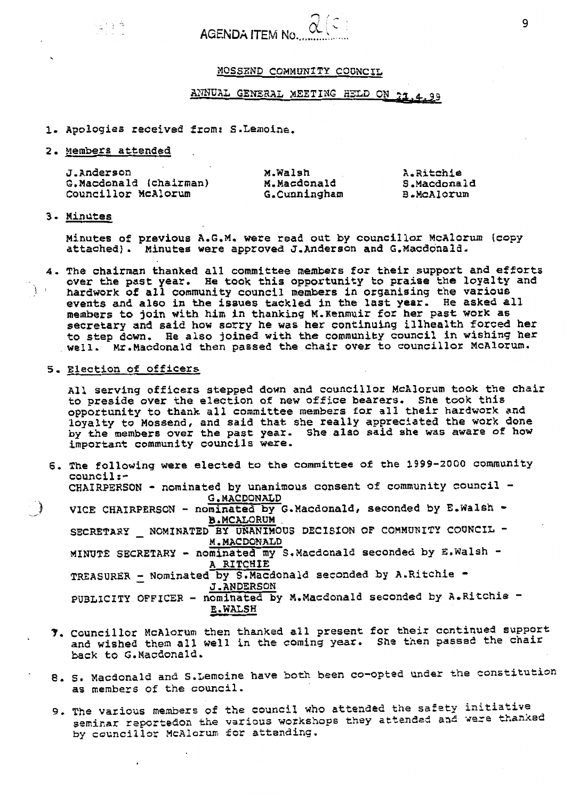#### **~~sszxun COMMUNITY** COUNCIL

# ANNUAL GENERAL MEETING HELD ON 21,4,99

#### **1.** *Apologies received* **from? S.Lernoine,**

#### *2,* **Members attended** ,

14:11 원 - 11

|                                                                                                                                 | ANNUAL GENERAL MEETING HELD ON 21.4.99 |                        |              |  |  |                                        |  |
|---------------------------------------------------------------------------------------------------------------------------------|----------------------------------------|------------------------|--------------|--|--|----------------------------------------|--|
| 1. Apologies received from: S.Lemoine.                                                                                          |                                        |                        |              |  |  |                                        |  |
| 2. Members attended                                                                                                             |                                        |                        |              |  |  |                                        |  |
| J.Anderson<br>G.Macdonald (chairman)<br>Councillor McAlorum                                                                     |                                        | M.Walsh<br>M.Macdonald | G.Cunningham |  |  | A.Ritchie<br>S.Macdonald<br>B.McAlorum |  |
| 3. Minutes                                                                                                                      |                                        |                        |              |  |  |                                        |  |
| Minutes of previous A.G.M. were read out by councillor McAlorum<br>attached). Minutes were approved J.Anderson and G.Macdonald. |                                        |                        |              |  |  |                                        |  |

Minutes of previous A.G.M. were read out by councillor McAlorum (copy<br>attached). Minutes were approved J.Anderson and G.Macdonald.

**4. The chairman thanked all committee members for their support and efforts**  *over* **the past year. hardwork of all community council members in organising the various events and also in the issues tackled in the last year. members to** Join **with him in thanking M.Kenmuir for her past work as secretary and said** how **sorry he was her continuing illhealth** forced **hex to step down. He also joined with the community council in wishing her well. Mr.Macdonald then passed the chair over to councillor McAlorum. He** took **this opportunity** *to* **praise the loyalty and Re asked all** 

#### **5.** Election **a€ officers**

**~ll serving afficers stepped down and councillor McAlorum took the** chair *to* **preside over the election of new office bearers. She took this**  opportunity **to thank all committee members for all their hardwork and loyalty to Hossend, and said that she really appreciated the work done by the members over the past year. She also said she was aware of how important community councils** *were.* 

*6.* **The following** *were* **elected to the committee of the 1999-2000 community council:- CHAIRPERSON** - **nominated by unanimous consent a€ community council** - **VICE CHAIRPERSON** - **nominated by G.MacdonaTd, seconded by E.WalSh** - **SECRETARY** - **NOMINATED BY UNANIMOUS DECISfON OF COMMUNITY COUNCIL** - **G.MACDONALD**  VICE CHAIRPERSON - nominated by<br>B.MCALORUM

**M.MACDONAED MINUTE SECRETARY** - **nominated my S.Nacdanald seconded by E.Walsh**  - **A RITCHIE TREASURER - Nominated by S.Macdonald seconded by A.Ritchie -<br>TREASURER - Nominated by S.Macdonald seconded by A.Ritchie -J-ANDERSON PUBLICITY OFFICER - nominated by M.Macdonald seconded by A.Ritchie -E. WALSH** 

- *7.* **Councillor McAlorum then thanked all present for their continued support and wished them all well In the** coining **year. She** then **passsd the** *chair*  **back to G,Macdonald.**
- *8.* **S. Macdonald and S.Lemoine have both been co-opted under the** constitution **as members of** *the* **council.**
- **9, Ths** various **members of** the **council** who **attended the safzty initiative so,mir,ar** reportedon **the various workshops they** attended **an4 vere thankd by councillor McAlorum** *for* **attending.**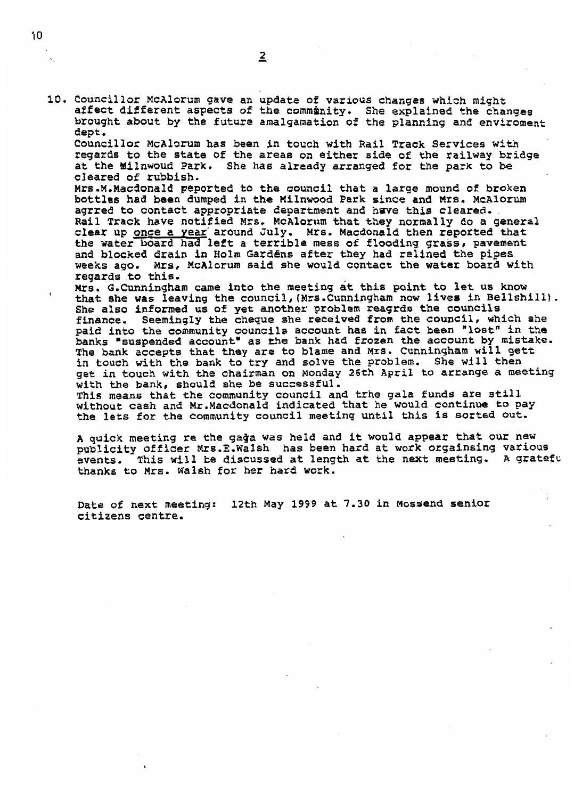**I** 

**10. Councillor McAlorum gave an update of various changes xhich** might **affect different aspects of the commdznity. She explained the changes brought about by the future amalganation of the planning and enviroment**  *dept* , **Councillor McAlorum has been in touch with Rail Track Services with** 

**regards to** tfie **state** of **the areas** *on* **either side** *of* **the railway bridge**  *at* **the Yflnwoud Park. She has already arranged** for *the* **park** *to be*  **cleared of rubbish.** 

**Mrs.M.Macdonald peported** *to* **the council that a large mound of** *broken*  **bottles had been dumped** in **the Milnwoad Park since and Mrs, McAlorum agrred to contact appropriate department and hwe this cleared, Rail Track have notified MrS. McAlorum that** they **normally do a general clear up once a Year'around July. Mrs. Macdanald then reported that the water board had left** a **terrible mess of flooding graks, pavement and blocked drain in Holm GardEns after they had relined** the **pipes weeks ago. &ITS, McAlorum said she would** contact **the water board with regards to this.** 

**us. G,Cunningham came into the meeting at this point to let us know that she was leaving** the **council,(Mrs.Cunningham now lives in Bellshill). She also informed us of** *yet* another **problem reagrds the councils finance. Seemingly the cheque she received from the council, which she paid into the community councils** account **has in fact been "lost" in the banks "suspended** account" **as me bank had frozen** *the* account **by mistake. The bank accepts khat they** *are* **to blame and Mrs. Cunningham will gett**  *in* touch **with the bank to** try **and solve the problem. \$he will then get in** touch **with** *the* **chairman an Nonday 26th April** *to* **arrange a meeting**  *with* the **bank, should she be successful.** 

**This means that the** community council **and trhe gala funds are** *still*  **without cash and Mr.Macdonald indicated that he would** continue **to pay the lets for the community council meeting until this is sorted** *but-*

**<sup>A</sup>quick meeting re the gaQa** *was* **held and it would appear that our new publicity officer Mrs-E-Walsh has been hard at work orgainsing various events. thanks to Mrs. walsh for her hard work. This will be discussed at length at the next meeting. A grateful** 

**Date of next meeting: 12th May 1999 at 7-30** *in* **Mossend senior**  citizens **centre.**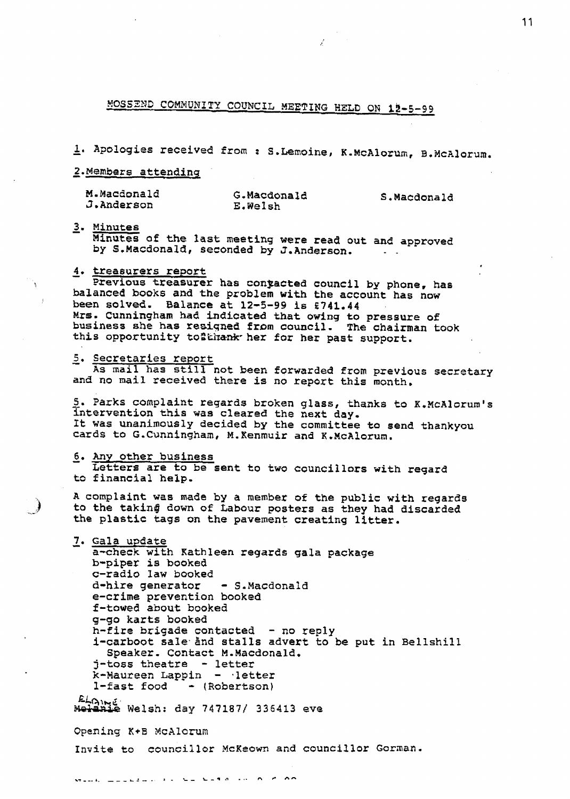**P!OSSZND** CGMMUNITY COUNCIL **MEETING HELD ON 15-5-99** 

- **1. Apologiss** received *from* : S.Lernoine, **K-McAlorurn,** B.3fcAlorurn.

- **Z.Members atteadinq** 

| M.Macdonald | G.Macdonald | S.Macdonald |  |  |
|-------------|-------------|-------------|--|--|
| J.Anderson  | E.Welsh     |             |  |  |

- **3. Minutes** 

**Minutes of the last meeting were read out and approved**  by S.Macdonald, seconded by J.Anderson.

# **4, treasurers report**  -

**balanced books and the problem with the** account **has now been solved. Balance at 12-5-99 1s f741.44 ~rs. Cunningham had indicated that owing to pressure of business she has resiqned fram council. The chairman took this opportunity toPkiranlc-her for** her **past support.**  Previous treasurer has conjacted council by phone, has

#### - *5.* **Secretaries** report

**and no mail received** there **is no report this** month. **As mail has still not been forwarded** *from* **previous secretary** 

**S. Parks complaint regards broken glass, thanks to X.McAlorum's**  intervention **this was cleared** the **next day-It was unanimously decided by the** committee **to send thankyou**  cards **to G.Cunningham, M.Kenmuir and K.McAlorum.** 

#### - **6.** *Any* **other business**

 $\mathbb{R}^3$ 

**to financial help. Letters are to be sent to two councillors with regard** 

**<sup>A</sup>complaint was made by** a member **of the public with regards to the takin@ down** *of* **Labour posters as they had discarded**   $the$  plastic tags on the pavement creating litter.

- **7. Gala** *update*  **a-check with Kathleen regards gala package b-piper** *is* **booked**  c-radio **law booked d-hire generator** - **S.Macdonald e-crime prevention booked f-towed about booked g-go karts booked h-fire brigade** contacted - **no reply i-carboot salehnd stalls advert to be put in Bellshill j-toss** theatre - **letter k-Maureen Lappin** - **-letter I-fast food** - **(Robertson)**  Speaker. Contact M.Macdonald. **Welsh: day 7471871 336413** eve Opening **K+B** McAlorurn **Invite to councillor** McKeown **and councillor** Gorinan.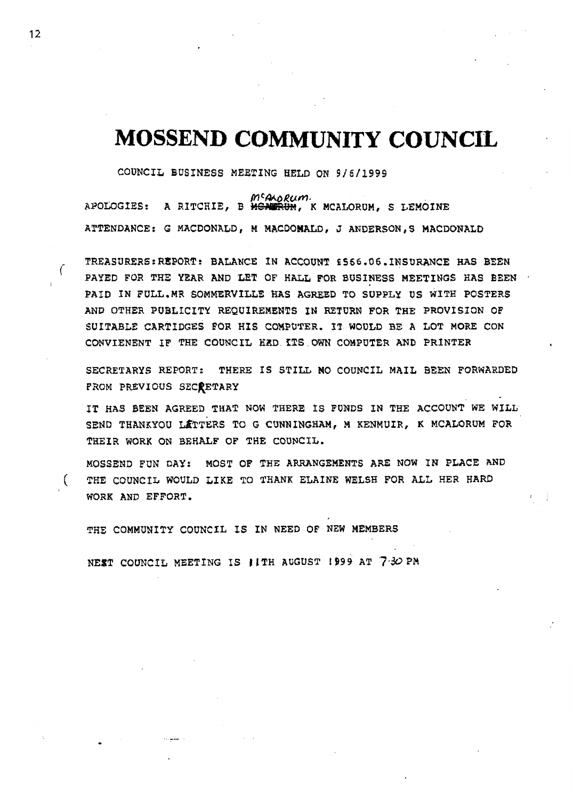# **MOSSEND COMMUNITY COUNCIL**

COUNCIL **BUSINESS MEETING HELD ON 9/6/1999** 

*Rum.*  **APOLOGIES: A RITCHIE, B** -, **K MCAWRUM, S LEMOINE ATTENDANCE: G MACDONALD, M MACDOMALD, J ANDERSONtS MACDONALD** 

**TREASURERS** : **REPORT** : **BALANCE IN ACCOUNT E** *586.06.* **INSURANCE HAS BEEN PAYED** FOR **THE YEAR AND LET OF HALL FOR BUSINESS MEETINGS HAS BEEN PAID IN FULL.MR SOMMERVILLE HAS AGREED TO SUPPLY US** WITH **POSTERS AND OTHER PUBLfCITY REQUIREMENTS IN RETURN FOR THE PROVISION OF SUITABLE CARTIDGES FOR HIS COMPUTER. IT WOULD BE A LOT MORE CON CONVIENENT IF** THE **COUNCIL HZD ZTS OWN COMPUTER AND PRINTER**  TREASURERS: REPORT: BALANCE IN ACCOUNT £566.06. INSURANCE HAS BEEN<br>PAYED FOR THE YEAR AND LET OF HALL FOR BUSINESS MEETINGS HAS BEEN<br>PAID IN FULL MP COMMERVILLE HAS ACREED TO SURRIX BS NITH POSTERS

**SECRETARYS REPORT: THERE IS STILL MO COUNCIL MAIL BEEN FORWARDED FROM PREVIOUS SECRETARY** 

**IT HAS BEEN AGREED THAT NOW THERE IS FUNDS IN THE ACCOUNT WE WILL SEND THANKYOU MTTERS TO G CUNNINGHAM, M KENMUIR, K MCALORUM FOR THEIR WORK ON BEHALF OF THE COUNCIL.** 

**MOSSEND FUN DAY: MOST OF THE ARRANGEMENTS ARE NOW IN PLACE AND THE** COUNCIL **WOULD LIKE TO THANK ELAXNE WELSH FOR ALL HER HARD WORK AND EFFORT.** <sup>I</sup>

**THE COMMUNITY** COUNCIL **IS IN NEED OF NEW MEMBERS** 

<code>NEST COUNCIL MEETING IS **IITH AUGUST 1999 AT 7:30 PM**</code>

(

.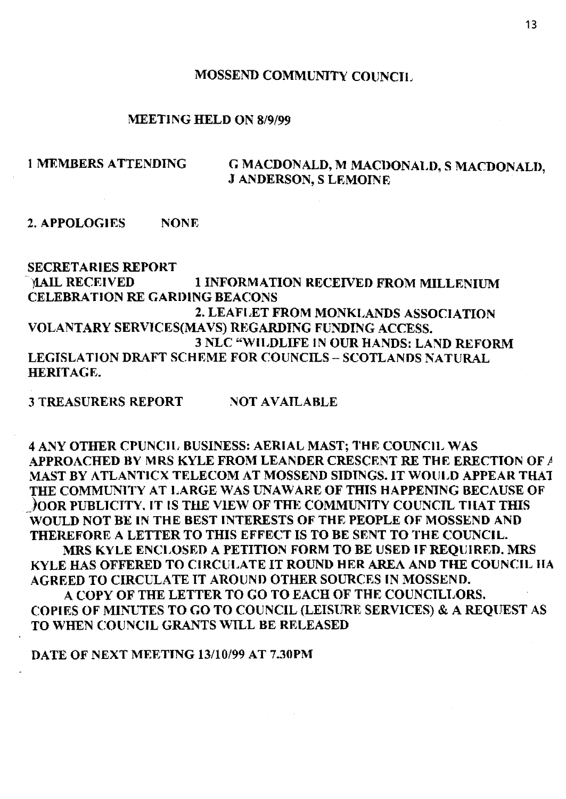### **MOSSEND COMMUNJTY COlJNCTI,**

#### **MEETING HELD ON 8/9/99**

# 1 **MEMBERS ATTENDING** *C***, <b>MACDONALD, M MACDONALD, S MACDONALD. J GNDERSON, S LEMOINE**

**2. APPOLOGIES NONE** 

**SECRETARIES REPORT glAIL RECEIVED CELEBRATION RE C,ARI)lNG BEACONS 1 INFORMATION KECEIVED FROM MILLENIUM 2. LEAFIdET FROM MONKIAANDS ASSOCIATION VOLANTARY SERVlCES(MAVS) REGARDING FUNDING ACCESS. 3 NLC W'IIDLIFE IN OUR HANDS: LAND REFORM LEGISLATION DRAFT SCHEME FOR COUNCILS - SCOTLANDS NATURAL HERITAGE.** 

**3 TREASURERS REPORT NOT AVAILABLE** 

**4 ANY OTHER CPUNCII, BUSINESS: AERIAL MAST; THE COUNCII, WAS APPROACHED BY MKS KYLE FROM LEANDER CRESCENT RE THE ERECTION OF** *<sup>P</sup>* **MAST BY ATLANTICX TELECOM AT MOSSEND SIDINGS. IT WOULD APPEAR THAT -)OOR PUBLTCTTY. IT IS TklE VlEW OF THE CIOMMUNTTY COUNCTL TlIAT THIS WOULD NOT BE IN THE BEST INTERESTS OF THE PEOPLE OF MOSSEND AND THEREFORE A LETTER TO THIS EFFECT IS TO BE SENT TO THE COUNC.'IL. KYLE HAS OFFERED TO CIRCULATE IT ROUND HER AREA AND THE COUNCIL HA AGREED TO CIRCULATE IT AROIINI) OTHER SOURCES IN MOSSEND. COPIES OF MINUTES TO** *GO* **TO COUNCIL (LEISURR SERVICES.)** & **A REQlrTEST AS TO WHEN COUNCIL GRANTS WILL BE RELEASED THE COMMUNlTY AT IdARGE WAS ZJNAWAKE OF THIS HAPPENING BECAUSE OF MRS KYLE ENCLOSED A PETITION FORM TO BE USED IF REQUIRED. MRS A COPY OF THE LETTER TO** *GO* **TO EACH OF THE COUNCTLT,OKS.** 

**DAL'E OF NEXT MEETTNG 13/10/99 AT 7.30PM**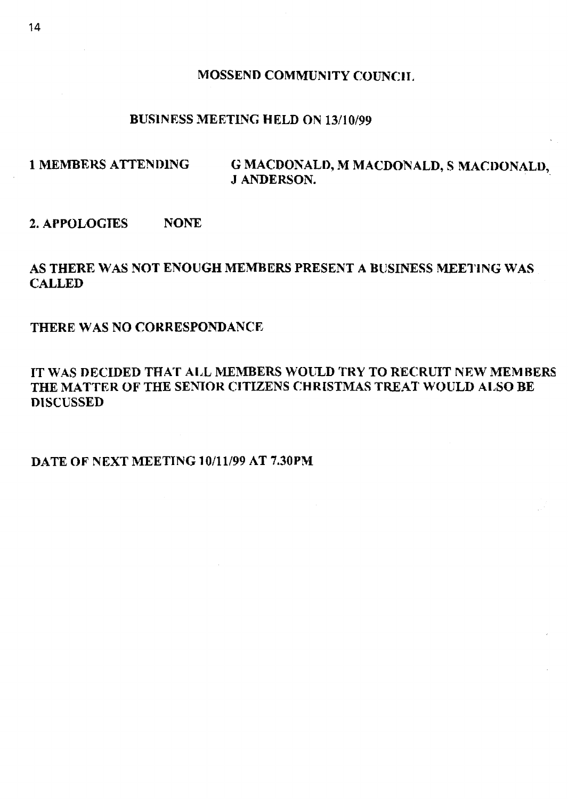#### **MOSSEND COMMUNITY COUNCIL**

# **BUSlNESS MEETING HELD ON 13/10/99**

# 1 MEMBERS ATTENDING *G MACDONALD, M MACDONALD, S MACDONALD,* **J ANDERSON.**

## **2. AFPOLOCTES NONE**

# **AS THERE WAS NOT ENOUGH MEMBERS PRESENT A BUSINESS WETIN(; WAS CALLED**

### **THERE WAS NO COKRESPONDANCX**

# **IT WAS DECIDED THAT AIJL MEMBERS WOZTLD TRY TO RECRUIT NEW MEMBERS THE MATTEK OF THE SENIOR CITIZENS CHRISTMAS TREAT WOIJLI)** *ALSO* **BE DISCUSSED**

### **DATE OF NEXT MEETING 10/11/99 AT 7.30PM**